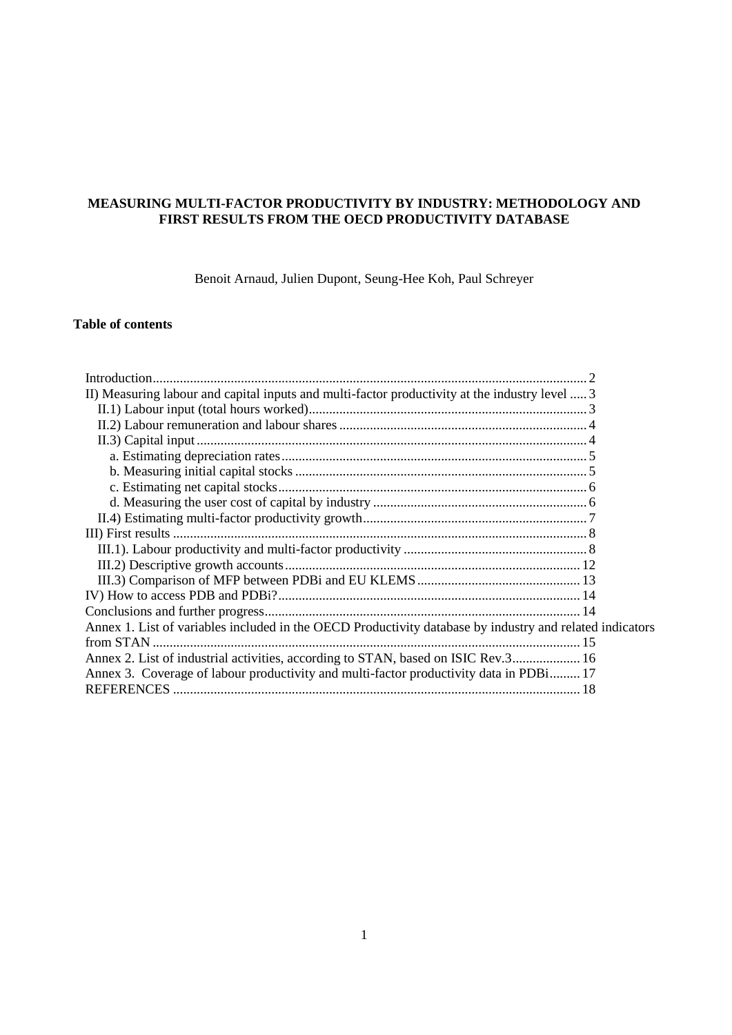# **MEASURING MULTI-FACTOR PRODUCTIVITY BY INDUSTRY: METHODOLOGY AND FIRST RESULTS FROM THE OECD PRODUCTIVITY DATABASE**

Benoit Arnaud, Julien Dupont, Seung-Hee Koh, Paul Schreyer

## **Table of contents**

| II) Measuring labour and capital inputs and multi-factor productivity at the industry level  3           |  |
|----------------------------------------------------------------------------------------------------------|--|
|                                                                                                          |  |
|                                                                                                          |  |
|                                                                                                          |  |
|                                                                                                          |  |
|                                                                                                          |  |
|                                                                                                          |  |
|                                                                                                          |  |
|                                                                                                          |  |
|                                                                                                          |  |
|                                                                                                          |  |
|                                                                                                          |  |
|                                                                                                          |  |
|                                                                                                          |  |
|                                                                                                          |  |
| Annex 1. List of variables included in the OECD Productivity database by industry and related indicators |  |
|                                                                                                          |  |
| Annex 2. List of industrial activities, according to STAN, based on ISIC Rev.3 16                        |  |
| Annex 3. Coverage of labour productivity and multi-factor productivity data in PDBi 17                   |  |
|                                                                                                          |  |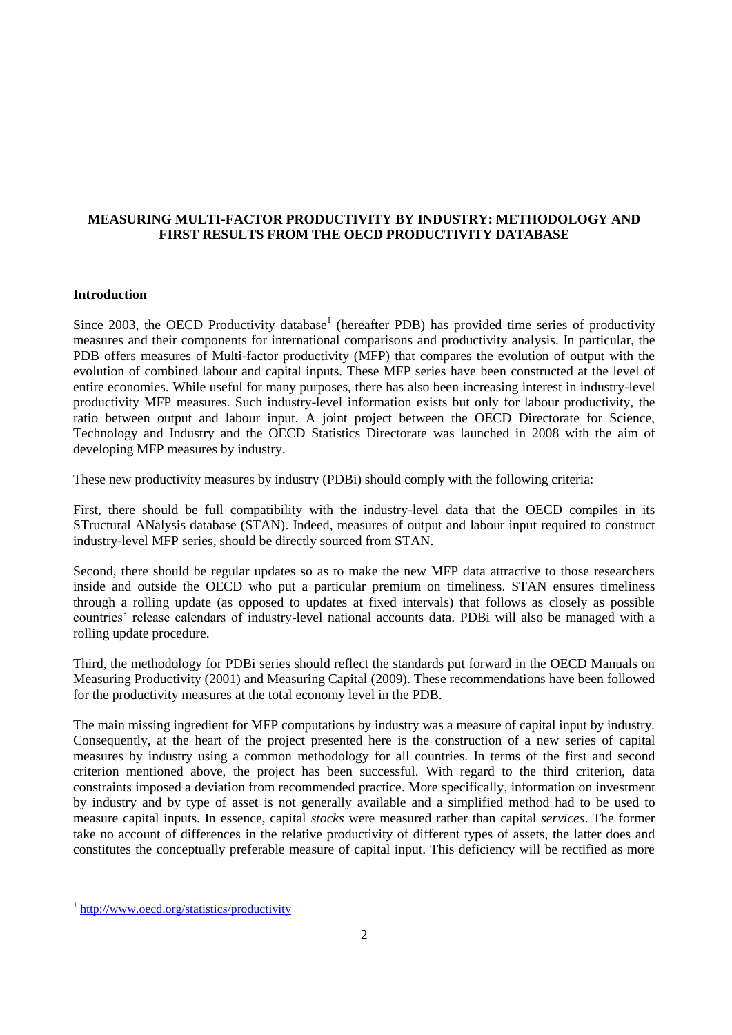# **MEASURING MULTI-FACTOR PRODUCTIVITY BY INDUSTRY: METHODOLOGY AND FIRST RESULTS FROM THE OECD PRODUCTIVITY DATABASE**

## **Introduction**

Since 2003, the OECD Productivity database<sup>1</sup> (hereafter PDB) has provided time series of productivity measures and their components for international comparisons and productivity analysis. In particular, the PDB offers measures of Multi-factor productivity (MFP) that compares the evolution of output with the evolution of combined labour and capital inputs. These MFP series have been constructed at the level of entire economies. While useful for many purposes, there has also been increasing interest in industry-level productivity MFP measures. Such industry-level information exists but only for labour productivity, the ratio between output and labour input. A joint project between the OECD Directorate for Science, Technology and Industry and the OECD Statistics Directorate was launched in 2008 with the aim of developing MFP measures by industry.

These new productivity measures by industry (PDBi) should comply with the following criteria:

First, there should be full compatibility with the industry-level data that the OECD compiles in its STructural ANalysis database (STAN). Indeed, measures of output and labour input required to construct industry-level MFP series, should be directly sourced from STAN.

Second, there should be regular updates so as to make the new MFP data attractive to those researchers inside and outside the OECD who put a particular premium on timeliness. STAN ensures timeliness through a rolling update (as opposed to updates at fixed intervals) that follows as closely as possible countries" release calendars of industry-level national accounts data. PDBi will also be managed with a rolling update procedure.

Third, the methodology for PDBi series should reflect the standards put forward in the OECD Manuals on Measuring Productivity (2001) and Measuring Capital (2009). These recommendations have been followed for the productivity measures at the total economy level in the PDB.

The main missing ingredient for MFP computations by industry was a measure of capital input by industry. Consequently, at the heart of the project presented here is the construction of a new series of capital measures by industry using a common methodology for all countries. In terms of the first and second criterion mentioned above, the project has been successful. With regard to the third criterion, data constraints imposed a deviation from recommended practice. More specifically, information on investment by industry and by type of asset is not generally available and a simplified method had to be used to measure capital inputs. In essence, capital *stocks* were measured rather than capital *services*. The former take no account of differences in the relative productivity of different types of assets, the latter does and constitutes the conceptually preferable measure of capital input. This deficiency will be rectified as more

<sup>&</sup>lt;sup>1</sup> <http://www.oecd.org/statistics/productivity>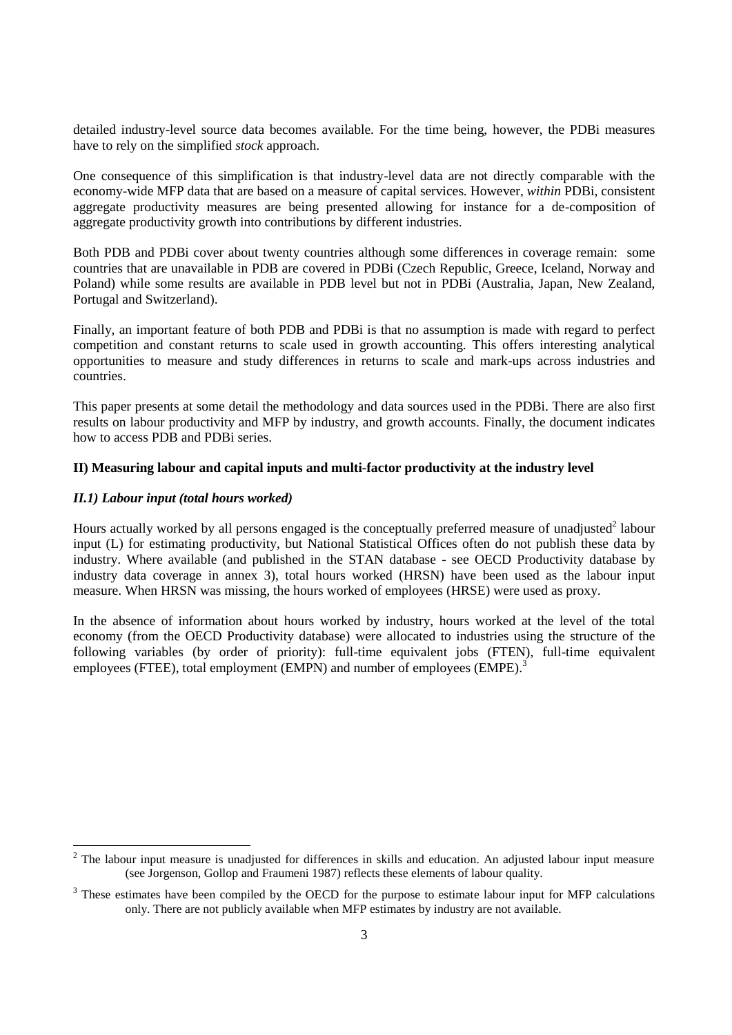detailed industry-level source data becomes available. For the time being, however, the PDBi measures have to rely on the simplified *stock* approach.

One consequence of this simplification is that industry-level data are not directly comparable with the economy-wide MFP data that are based on a measure of capital services. However, *within* PDBi, consistent aggregate productivity measures are being presented allowing for instance for a de-composition of aggregate productivity growth into contributions by different industries.

Both PDB and PDBi cover about twenty countries although some differences in coverage remain: some countries that are unavailable in PDB are covered in PDBi (Czech Republic, Greece, Iceland, Norway and Poland) while some results are available in PDB level but not in PDBi (Australia, Japan, New Zealand, Portugal and Switzerland).

Finally, an important feature of both PDB and PDBi is that no assumption is made with regard to perfect competition and constant returns to scale used in growth accounting. This offers interesting analytical opportunities to measure and study differences in returns to scale and mark-ups across industries and countries.

This paper presents at some detail the methodology and data sources used in the PDBi. There are also first results on labour productivity and MFP by industry, and growth accounts. Finally, the document indicates how to access PDB and PDBi series.

## **II) Measuring labour and capital inputs and multi-factor productivity at the industry level**

## *II.1) Labour input (total hours worked)*

 $\overline{a}$ 

Hours actually worked by all persons engaged is the conceptually preferred measure of unadjusted<sup>2</sup> labour input (L) for estimating productivity, but National Statistical Offices often do not publish these data by industry. Where available (and published in the STAN database - see OECD Productivity database by industry data coverage in annex 3), total hours worked (HRSN) have been used as the labour input measure. When HRSN was missing, the hours worked of employees (HRSE) were used as proxy.

In the absence of information about hours worked by industry, hours worked at the level of the total economy (from the OECD Productivity database) were allocated to industries using the structure of the following variables (by order of priority): full-time equivalent jobs (FTEN), full-time equivalent employees (FTEE), total employment (EMPN) and number of employees (EMPE).<sup>3</sup>

 $2$  The labour input measure is unadjusted for differences in skills and education. An adjusted labour input measure (see Jorgenson, Gollop and Fraumeni 1987) reflects these elements of labour quality.

<sup>&</sup>lt;sup>3</sup> These estimates have been compiled by the OECD for the purpose to estimate labour input for MFP calculations only. There are not publicly available when MFP estimates by industry are not available.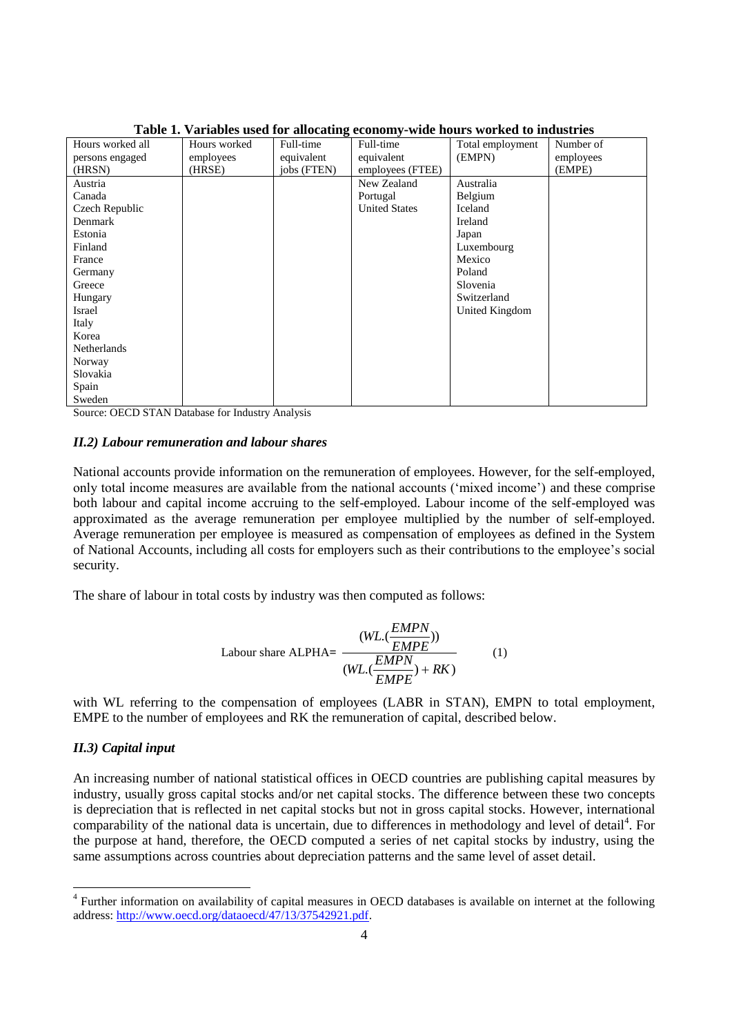|                  |              |             | Table 1. Valiables used for anocating economy-write hours worked to muustries |                  |           |
|------------------|--------------|-------------|-------------------------------------------------------------------------------|------------------|-----------|
| Hours worked all | Hours worked | Full-time   | Full-time                                                                     | Total employment | Number of |
| persons engaged  | employees    | equivalent  | equivalent                                                                    | (EMPN)           | employees |
| (HRSN)           | (HRSE)       | jobs (FTEN) | employees (FTEE)                                                              |                  | (EMPE)    |
| Austria          |              |             | New Zealand                                                                   | Australia        |           |
| Canada           |              |             | Portugal                                                                      | Belgium          |           |
| Czech Republic   |              |             | <b>United States</b>                                                          | Iceland          |           |
| Denmark          |              |             |                                                                               | Ireland          |           |
| Estonia          |              |             |                                                                               | Japan            |           |
| Finland          |              |             |                                                                               | Luxembourg       |           |
| France           |              |             |                                                                               | Mexico           |           |
| Germany          |              |             |                                                                               | Poland           |           |
| Greece           |              |             |                                                                               | Slovenia         |           |
| Hungary          |              |             |                                                                               | Switzerland      |           |
| Israel           |              |             |                                                                               | United Kingdom   |           |
| Italy            |              |             |                                                                               |                  |           |
| Korea            |              |             |                                                                               |                  |           |
| Netherlands      |              |             |                                                                               |                  |           |
| Norway           |              |             |                                                                               |                  |           |
| Slovakia         |              |             |                                                                               |                  |           |
| Spain            |              |             |                                                                               |                  |           |
| Sweden           |              |             |                                                                               |                  |           |

# **Table 1. Variables used for allocating economy-wide hours worked to industries**

Source: OECD STAN Database for Industry Analysis

#### *II.2) Labour remuneration and labour shares*

National accounts provide information on the remuneration of employees. However, for the self-employed, only total income measures are available from the national accounts ("mixed income") and these comprise both labour and capital income accruing to the self-employed. Labour income of the self-employed was approximated as the average remuneration per employee multiplied by the number of self-employed. Average remuneration per employee is measured as compensation of employees as defined in the System of National Accounts, including all costs for employers such as their contributions to the employee"s social security.

The share of labour in total costs by industry was then computed as follows:

$$
Labour share ALPHA = \frac{(WL.(\frac{EMPN}{EMPE}))}{(WL.(\frac{EMPN}{EMPE}) + RK)}
$$
 (1)

with WL referring to the compensation of employees (LABR in STAN), EMPN to total employment, EMPE to the number of employees and RK the remuneration of capital, described below.

## *II.3) Capital input*

An increasing number of national statistical offices in OECD countries are publishing capital measures by industry, usually gross capital stocks and/or net capital stocks. The difference between these two concepts is depreciation that is reflected in net capital stocks but not in gross capital stocks. However, international comparability of the national data is uncertain, due to differences in methodology and level of detail<sup>4</sup>. For the purpose at hand, therefore, the OECD computed a series of net capital stocks by industry, using the same assumptions across countries about depreciation patterns and the same level of asset detail.

 4 Further information on availability of capital measures in OECD databases is available on internet at the following address: [http://www.oecd.org/dataoecd/47/13/37542921.pdf.](http://www.oecd.org/dataoecd/47/13/37542921.pdf)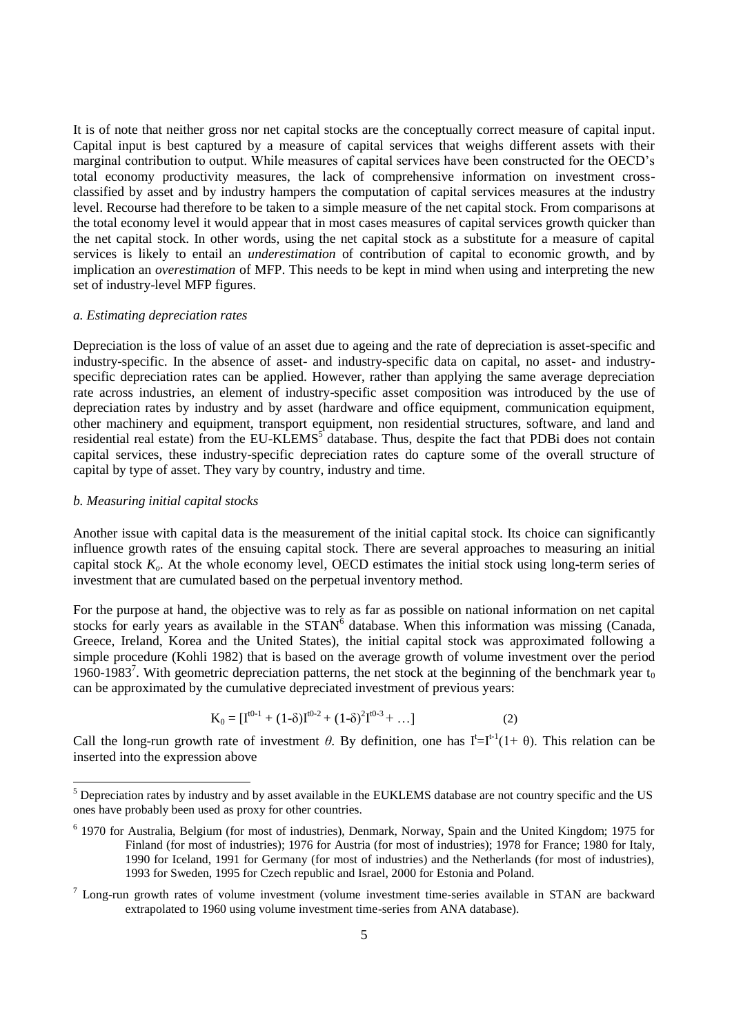It is of note that neither gross nor net capital stocks are the conceptually correct measure of capital input. Capital input is best captured by a measure of capital services that weighs different assets with their marginal contribution to output. While measures of capital services have been constructed for the OECD"s total economy productivity measures, the lack of comprehensive information on investment crossclassified by asset and by industry hampers the computation of capital services measures at the industry level. Recourse had therefore to be taken to a simple measure of the net capital stock. From comparisons at the total economy level it would appear that in most cases measures of capital services growth quicker than the net capital stock. In other words, using the net capital stock as a substitute for a measure of capital services is likely to entail an *underestimation* of contribution of capital to economic growth, and by implication an *overestimation* of MFP. This needs to be kept in mind when using and interpreting the new set of industry-level MFP figures.

## *a. Estimating depreciation rates*

Depreciation is the loss of value of an asset due to ageing and the rate of depreciation is asset-specific and industry-specific. In the absence of asset- and industry-specific data on capital, no asset- and industryspecific depreciation rates can be applied. However, rather than applying the same average depreciation rate across industries, an element of industry-specific asset composition was introduced by the use of depreciation rates by industry and by asset (hardware and office equipment, communication equipment, other machinery and equipment, transport equipment, non residential structures, software, and land and residential real estate) from the EU-KLEMS<sup>5</sup> database. Thus, despite the fact that PDBi does not contain capital services, these industry-specific depreciation rates do capture some of the overall structure of capital by type of asset. They vary by country, industry and time.

## *b. Measuring initial capital stocks*

 $\overline{a}$ 

Another issue with capital data is the measurement of the initial capital stock. Its choice can significantly influence growth rates of the ensuing capital stock. There are several approaches to measuring an initial capital stock *Ko*. At the whole economy level, OECD estimates the initial stock using long-term series of investment that are cumulated based on the perpetual inventory method.

For the purpose at hand, the objective was to rely as far as possible on national information on net capital stocks for early years as available in the  $STAN<sup>6</sup>$  database. When this information was missing (Canada, Greece, Ireland, Korea and the United States), the initial capital stock was approximated following a simple procedure (Kohli 1982) that is based on the average growth of volume investment over the period 1960-1983<sup>7</sup>. With geometric depreciation patterns, the net stock at the beginning of the benchmark year  $t_0$ can be approximated by the cumulative depreciated investment of previous years:

$$
K_0 = [I^{t^{0.1}} + (1-\delta)I^{t^{0.2}} + (1-\delta)^2I^{t^{0.3}} + \dots]
$$
 (2)

Call the long-run growth rate of investment  $\theta$ . By definition, one has  $I^t = I^{t-1}(1+\theta)$ . This relation can be inserted into the expression above

 $<sup>5</sup>$  Depreciation rates by industry and by asset available in the EUKLEMS database are not country specific and the US</sup> ones have probably been used as proxy for other countries.

<sup>&</sup>lt;sup>6</sup> 1970 for Australia, Belgium (for most of industries), Denmark, Norway, Spain and the United Kingdom; 1975 for Finland (for most of industries); 1976 for Austria (for most of industries); 1978 for France; 1980 for Italy, 1990 for Iceland, 1991 for Germany (for most of industries) and the Netherlands (for most of industries), 1993 for Sweden, 1995 for Czech republic and Israel, 2000 for Estonia and Poland.

 $7$  Long-run growth rates of volume investment (volume investment time-series available in STAN are backward extrapolated to 1960 using volume investment time-series from ANA database).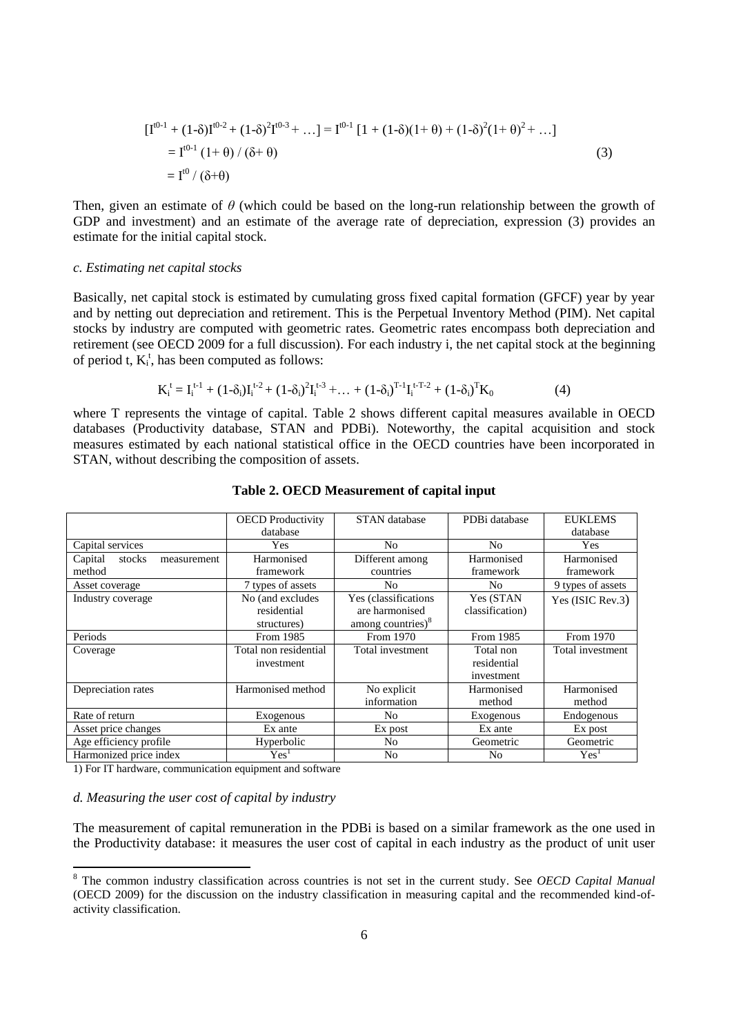$$
\begin{aligned} \left[I^{0-1} + (1-\delta)I^{0-2} + (1-\delta)^2 I^{0-3} + \dots\right] &= I^{0-1} \left[1 + (1-\delta)(1+\theta) + (1-\delta)^2 (1+\theta)^2 + \dots\right] \\ &= I^{0-1} \left(1+\theta\right) / \left(\delta + \theta\right) \\ &= I^{0} \left(\delta + \theta\right) \end{aligned} \tag{3}
$$

Then, given an estimate of *θ* (which could be based on the long-run relationship between the growth of GDP and investment) and an estimate of the average rate of depreciation, expression (3) provides an estimate for the initial capital stock.

#### *c. Estimating net capital stocks*

Basically, net capital stock is estimated by cumulating gross fixed capital formation (GFCF) year by year and by netting out depreciation and retirement. This is the Perpetual Inventory Method (PIM). Net capital stocks by industry are computed with geometric rates. Geometric rates encompass both depreciation and retirement (see OECD 2009 for a full discussion). For each industry i, the net capital stock at the beginning of period t,  $K_i^t$ , has been computed as follows:

$$
K_i^t = I_i^{t-1} + (1 - \delta_i)I_i^{t-2} + (1 - \delta_i)^2 I_i^{t-3} + \dots + (1 - \delta_i)^{T-1} I_i^{t-T-2} + (1 - \delta_i)^T K_0
$$
(4)

where T represents the vintage of capital. Table 2 shows different capital measures available in OECD databases (Productivity database, STAN and PDBi). Noteworthy, the capital acquisition and stock measures estimated by each national statistical office in the OECD countries have been incorporated in STAN, without describing the composition of assets.

|                                  | <b>OECD</b> Productivity | <b>STAN</b> database          | PDBi database   | <b>EUKLEMS</b>    |
|----------------------------------|--------------------------|-------------------------------|-----------------|-------------------|
|                                  | database                 |                               |                 | database          |
| Capital services                 | Yes                      | N <sub>0</sub>                | No              | Yes               |
| Capital<br>stocks<br>measurement | Harmonised               | Different among               | Harmonised      | Harmonised        |
| method                           | framework                | countries                     | framework       | framework         |
| Asset coverage                   | 7 types of assets        | N <sub>0</sub>                | N <sub>0</sub>  | 9 types of assets |
| Industry coverage                | No (and excludes         | Yes (classifications          | Yes (STAN       | Yes (ISIC Rev.3)  |
|                                  | residential              | are harmonised                | classification) |                   |
|                                  | structures)              | among countries) <sup>8</sup> |                 |                   |
| Periods                          | From 1985                | From 1970                     | From 1985       | From 1970         |
| Coverage                         | Total non residential    | Total investment              | Total non       | Total investment  |
|                                  | investment               |                               | residential     |                   |
|                                  |                          |                               | investment      |                   |
| Depreciation rates               | Harmonised method        | No explicit                   | Harmonised      | Harmonised        |
|                                  |                          | information                   | method          | method            |
| Rate of return                   | Exogenous                | N <sub>o</sub>                | Exogenous       | Endogenous        |
| Asset price changes              | Ex ante                  | Ex post                       | Ex ante         | Ex post           |
| Age efficiency profile           | Hyperbolic               | N <sub>o</sub>                | Geometric       | Geometric         |
| Harmonized price index           | Yes <sup>1</sup>         | No                            | No              | Yes <sup>1</sup>  |

## **Table 2. OECD Measurement of capital input**

1) For IT hardware, communication equipment and software

#### *d. Measuring the user cost of capital by industry*

 $\overline{a}$ 

The measurement of capital remuneration in the PDBi is based on a similar framework as the one used in the Productivity database: it measures the user cost of capital in each industry as the product of unit user

<sup>8</sup> The common industry classification across countries is not set in the current study. See *OECD Capital Manual* (OECD 2009) for the discussion on the industry classification in measuring capital and the recommended kind-ofactivity classification.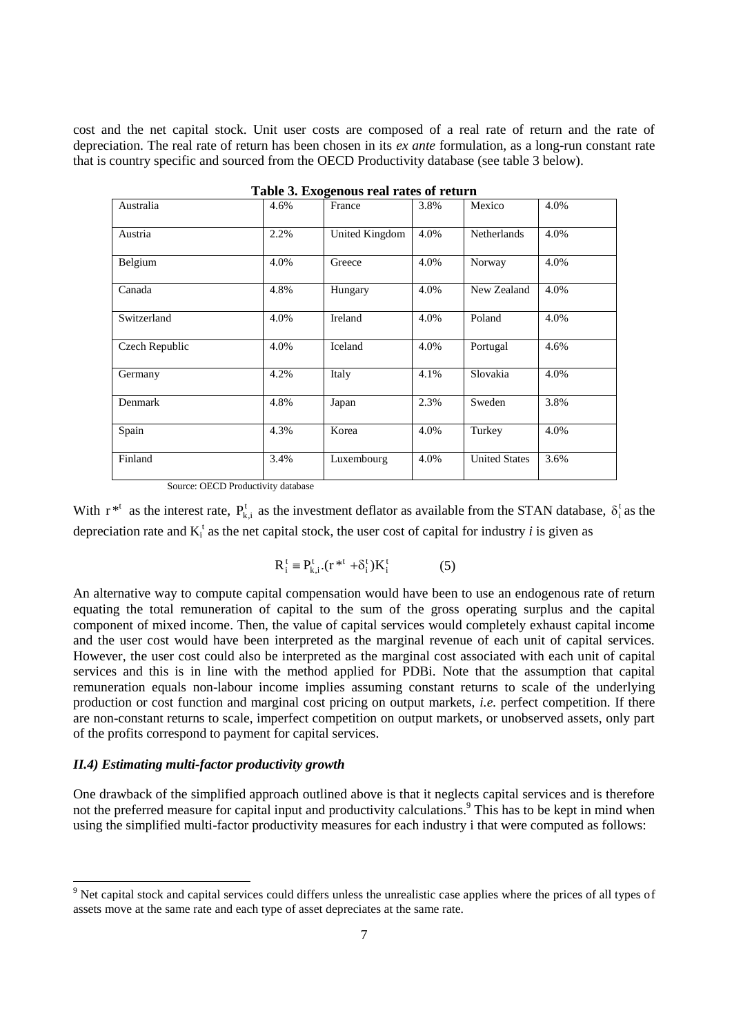cost and the net capital stock. Unit user costs are composed of a real rate of return and the rate of depreciation. The real rate of return has been chosen in its *ex ante* formulation, as a long-run constant rate that is country specific and sourced from the OECD Productivity database (see table 3 below).

|                |      | Table 5. Exogenous real rates of return |      |                      |      |
|----------------|------|-----------------------------------------|------|----------------------|------|
| Australia      | 4.6% | France                                  | 3.8% | Mexico               | 4.0% |
| Austria        | 2.2% | United Kingdom                          | 4.0% | <b>Netherlands</b>   | 4.0% |
| Belgium        | 4.0% | Greece                                  | 4.0% | Norway               | 4.0% |
| Canada         | 4.8% | Hungary                                 | 4.0% | New Zealand          | 4.0% |
| Switzerland    | 4.0% | Ireland                                 | 4.0% | Poland               | 4.0% |
| Czech Republic | 4.0% | Iceland                                 | 4.0% | Portugal             | 4.6% |
| Germany        | 4.2% | Italy                                   | 4.1% | Slovakia             | 4.0% |
| Denmark        | 4.8% | Japan                                   | 2.3% | Sweden               | 3.8% |
| Spain          | 4.3% | Korea                                   | 4.0% | Turkey               | 4.0% |
| Finland        | 3.4% | Luxembourg                              | 4.0% | <b>United States</b> | 3.6% |

| Table 3. Exogenous real rates of return |  |
|-----------------------------------------|--|
|-----------------------------------------|--|

Source: OECD Productivity database

With  $r^{*t}$  as the interest rate,  $P_{k,i}^t$  as the investment deflator as available from the STAN database,  $\delta_i^t$  as the depreciation rate and  $K_i^t$  as the net capital stock, the user cost of capital for industry *i* is given as

$$
R_i^t \equiv P_{k,i}^t (r^{*t} + \delta_i^t) K_i^t \tag{5}
$$

An alternative way to compute capital compensation would have been to use an endogenous rate of return equating the total remuneration of capital to the sum of the gross operating surplus and the capital component of mixed income. Then, the value of capital services would completely exhaust capital income and the user cost would have been interpreted as the marginal revenue of each unit of capital services. However, the user cost could also be interpreted as the marginal cost associated with each unit of capital services and this is in line with the method applied for PDBi. Note that the assumption that capital remuneration equals non-labour income implies assuming constant returns to scale of the underlying production or cost function and marginal cost pricing on output markets, *i.e.* perfect competition. If there are non-constant returns to scale, imperfect competition on output markets, or unobserved assets, only part of the profits correspond to payment for capital services.

## *II.4) Estimating multi-factor productivity growth*

One drawback of the simplified approach outlined above is that it neglects capital services and is therefore not the preferred measure for capital input and productivity calculations.<sup>9</sup> This has to be kept in mind when using the simplified multi-factor productivity measures for each industry i that were computed as follows:

 $9$  Net capital stock and capital services could differs unless the unrealistic case applies where the prices of all types of assets move at the same rate and each type of asset depreciates at the same rate.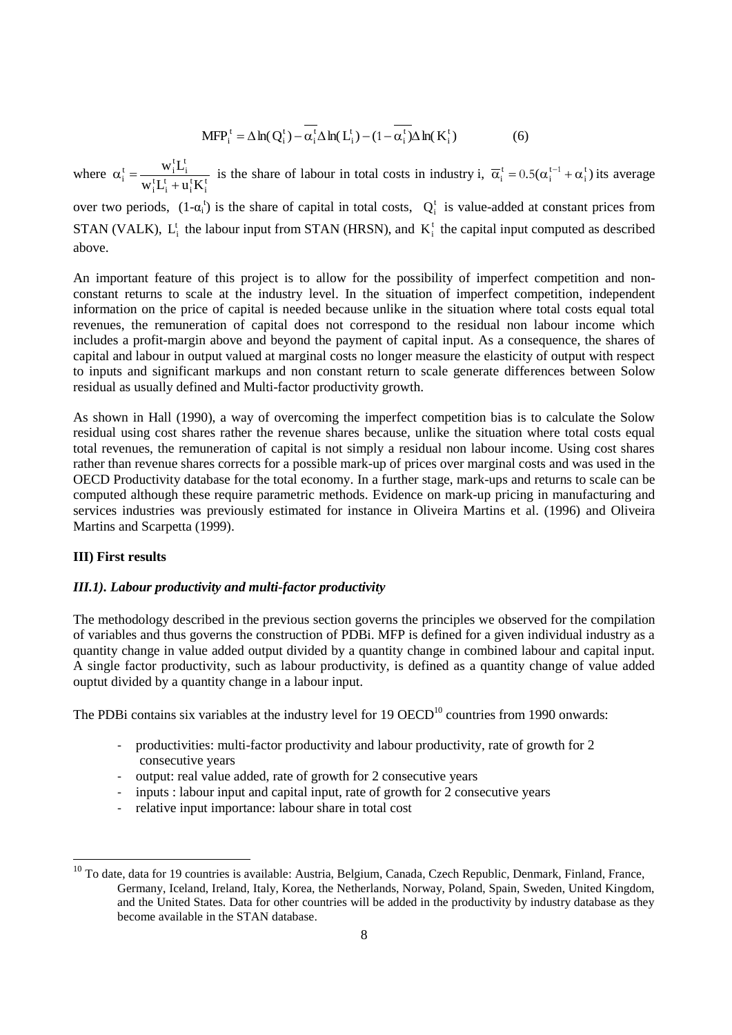$$
MFP_i^t = \Delta \ln(Q_i^t) - \overline{\alpha_i^t} \Delta \ln(L_i^t) - (1 - \overline{\alpha_i^t}) \Delta \ln(K_i^t)
$$
 (6)

where  $\alpha_i^t = \frac{W_1^t E_1}{W_1^t L_1^t + u_1^t K_1^t}$  $\mathbf{t}_{i}^{\mathrm{t}} = \frac{\mathbf{w}_{i}^{\mathrm{t}} \mathbf{L}_{i}^{\mathrm{t}}}{\mathbf{w}_{i}^{\mathrm{t}} \mathbf{L}_{i}^{\mathrm{t}} + \mathbf{u}_{i}^{\mathrm{t}} \mathbf{K}}$  $w_i^t L$  $+$  $\alpha_i^t = \frac{w_i L_i}{m_i t + \alpha_i t + \alpha_i t}$  is the share of labour in total costs in industry i,  $\overline{\alpha}_i^t = 0.5(\alpha_i^{t-1} + \alpha_i^t)$  its average

over two periods,  $(1-\alpha_i^t)$  is the share of capital in total costs,  $Q_i^t$  is value-added at constant prices from STAN (VALK),  $L_i^t$  the labour input from STAN (HRSN), and  $K_i^t$  the capital input computed as described above.

An important feature of this project is to allow for the possibility of imperfect competition and nonconstant returns to scale at the industry level. In the situation of imperfect competition, independent information on the price of capital is needed because unlike in the situation where total costs equal total revenues, the remuneration of capital does not correspond to the residual non labour income which includes a profit-margin above and beyond the payment of capital input. As a consequence, the shares of capital and labour in output valued at marginal costs no longer measure the elasticity of output with respect to inputs and significant markups and non constant return to scale generate differences between Solow residual as usually defined and Multi-factor productivity growth.

As shown in Hall (1990), a way of overcoming the imperfect competition bias is to calculate the Solow residual using cost shares rather the revenue shares because, unlike the situation where total costs equal total revenues, the remuneration of capital is not simply a residual non labour income. Using cost shares rather than revenue shares corrects for a possible mark-up of prices over marginal costs and was used in the OECD Productivity database for the total economy. In a further stage, mark-ups and returns to scale can be computed although these require parametric methods. Evidence on mark-up pricing in manufacturing and services industries was previously estimated for instance in Oliveira Martins et al. (1996) and Oliveira Martins and Scarpetta (1999).

## **III) First results**

# *III.1). Labour productivity and multi-factor productivity*

The methodology described in the previous section governs the principles we observed for the compilation of variables and thus governs the construction of PDBi. MFP is defined for a given individual industry as a quantity change in value added output divided by a quantity change in combined labour and capital input. A single factor productivity, such as labour productivity, is defined as a quantity change of value added ouptut divided by a quantity change in a labour input.

The PDBi contains six variables at the industry level for 19 OECD<sup>10</sup> countries from 1990 onwards:

- productivities: multi-factor productivity and labour productivity, rate of growth for 2 consecutive years
- output: real value added, rate of growth for 2 consecutive years
- inputs : labour input and capital input, rate of growth for 2 consecutive years
- relative input importance: labour share in total cost

 $10$  To date, data for 19 countries is available: Austria, Belgium, Canada, Czech Republic, Denmark, Finland, France, Germany, Iceland, Ireland, Italy, Korea, the Netherlands, Norway, Poland, Spain, Sweden, United Kingdom, and the United States. Data for other countries will be added in the productivity by industry database as they become available in the STAN database.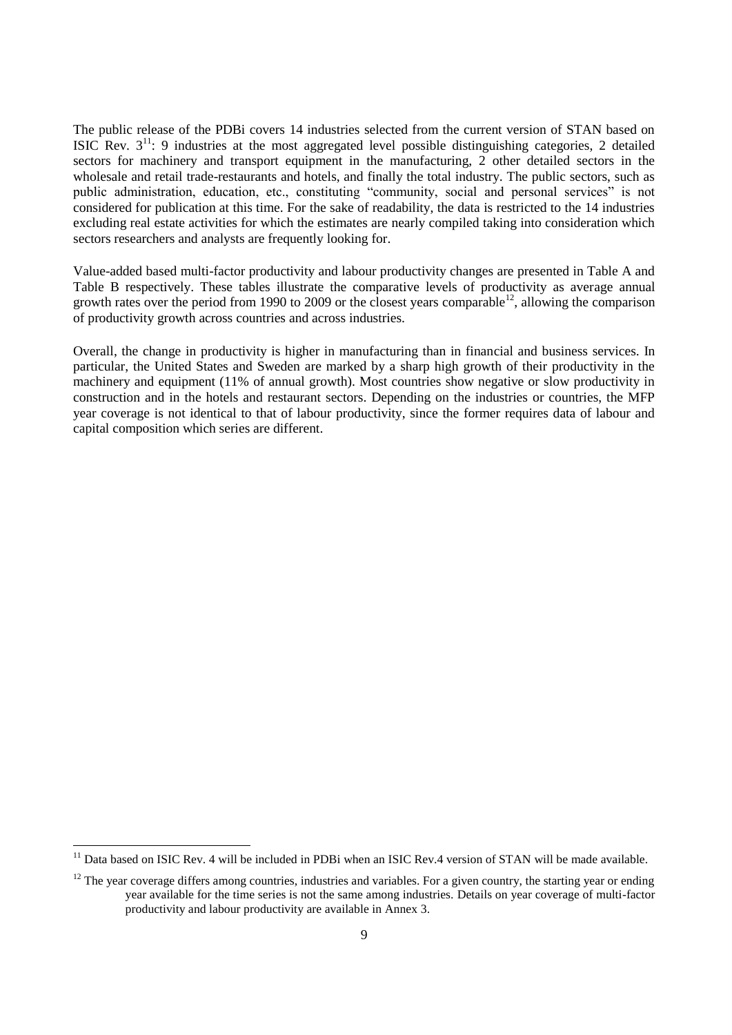The public release of the PDBi covers 14 industries selected from the current version of STAN based on ISIC Rev.  $3<sup>11</sup>$ : 9 industries at the most aggregated level possible distinguishing categories, 2 detailed sectors for machinery and transport equipment in the manufacturing, 2 other detailed sectors in the wholesale and retail trade-restaurants and hotels, and finally the total industry. The public sectors, such as public administration, education, etc., constituting "community, social and personal services" is not considered for publication at this time. For the sake of readability, the data is restricted to the 14 industries excluding real estate activities for which the estimates are nearly compiled taking into consideration which sectors researchers and analysts are frequently looking for.

Value-added based multi-factor productivity and labour productivity changes are presented in Table A and Table B respectively. These tables illustrate the comparative levels of productivity as average annual growth rates over the period from 1990 to 2009 or the closest years comparable<sup>12</sup>, allowing the comparison of productivity growth across countries and across industries.

Overall, the change in productivity is higher in manufacturing than in financial and business services. In particular, the United States and Sweden are marked by a sharp high growth of their productivity in the machinery and equipment (11% of annual growth). Most countries show negative or slow productivity in construction and in the hotels and restaurant sectors. Depending on the industries or countries, the MFP year coverage is not identical to that of labour productivity, since the former requires data of labour and capital composition which series are different.

 $\overline{a}$ 

 $11$  Data based on ISIC Rev. 4 will be included in PDBi when an ISIC Rev.4 version of STAN will be made available.

 $12$  The year coverage differs among countries, industries and variables. For a given country, the starting year or ending year available for the time series is not the same among industries. Details on year coverage of multi-factor productivity and labour productivity are available in Annex 3.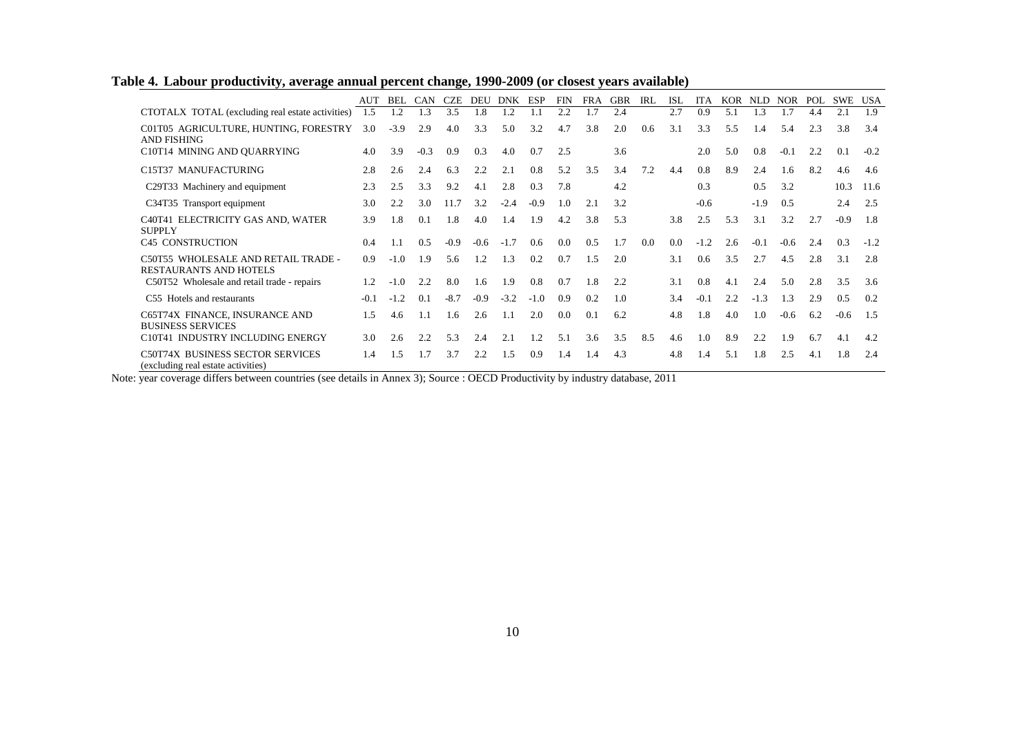|                                                                        | AUT    | BEL    | CAN    | <b>CZE</b> | <b>DEU</b> | <b>DNK</b> | ESP    | <b>FIN</b> | <b>FRA</b> | <b>GBR</b> | IRL | <b>ISL</b> | <b>ITA</b>    | <b>KOR</b> | <b>NLD</b> | <b>NOR</b> | POL | <b>SWE</b> | USA    |
|------------------------------------------------------------------------|--------|--------|--------|------------|------------|------------|--------|------------|------------|------------|-----|------------|---------------|------------|------------|------------|-----|------------|--------|
| CTOTALX TOTAL (excluding real estate activities)                       | 1.5    | . 2    | 1.3    | 3.5        | 1.8        | 1.2        | 1.1    | 2.2        | 1.7        | 2.4        |     | 2.7        | 0.9           | 5.1        | 1.3        | 1.7        | 4.4 | 2.1        | 1.9    |
| C01T05 AGRICULTURE, HUNTING, FORESTRY<br><b>AND FISHING</b>            | 3.0    | $-3.9$ | 2.9    | 4.0        | 3.3        | 5.0        | 3.2    | 4.7        | 3.8        | 2.0        | 0.6 | 3.1        | 3.3           | 5.5        | 1.4        | 5.4        | 2.3 | 3.8        | 3.4    |
| C10T14 MINING AND OUARRYING                                            | 4.0    | 3.9    | $-0.3$ | 0.9        | 0.3        | 4.0        | 0.7    | 2.5        |            | 3.6        |     |            | 2.0           | 5.0        | 0.8        | $-0.1$     | 2.2 | 0.1        | $-0.2$ |
| C15T37 MANUFACTURING                                                   | 2.8    | 2.6    | 2.4    | 6.3        | 2.2        | 2.1        | 0.8    | 5.2        | 3.5        | 3.4        | 7.2 | 4.4        | 0.8           | 8.9        | 2.4        | 1.6        | 8.2 | 4.6        | 4.6    |
| C29T33 Machinery and equipment                                         | 2.3    | 2.5    | 3.3    | 9.2        | 4.1        | 2.8        | 0.3    | 7.8        |            | 4.2        |     |            | 0.3           |            | 0.5        | 3.2        |     | 10.3       | 11.6   |
| C34T35 Transport equipment                                             | 3.0    | 2.2    | 3.0    | 11.7       | 3.2        | $-2.4$     | $-0.9$ | 1.0        | 2.1        | 3.2        |     |            | $-0.6$        |            | $-1.9$     | 0.5        |     | 2.4        | 2.5    |
| C40T41 ELECTRICITY GAS AND, WATER<br><b>SUPPLY</b>                     | 3.9    | 1.8    | 0.1    | 1.8        | 4.0        | 1.4        | 1.9    | 4.2        | 3.8        | 5.3        |     | 3.8        | 2.5           | 5.3        | 3.1        | 3.2        | 2.7 | $-0.9$     | 1.8    |
| C45 CONSTRUCTION                                                       | 0.4    |        | 0.5    | $-0.9$     | $-0.6$     | $-1.7$     | 0.6    | 0.0        | 0.5        | 1.7        | 0.0 | 0.0        | $-1.2$        | 2.6        | $-0.1$     | $-0.6$     | 2.4 | 0.3        | $-1.2$ |
| C50T55 WHOLESALE AND RETAIL TRADE -<br><b>RESTAURANTS AND HOTELS</b>   | 0.9    | $-1.0$ | 1.9    | 5.6        | 1.2        | 1.3        | 0.2    | 0.7        | 1.5        | 2.0        |     | 3.1        | $0.6^{\circ}$ | 3.5        | 2.7        | 4.5        | 2.8 | 3.1        | 2.8    |
| C50T52 Wholesale and retail trade - repairs                            | 1.2    | $-1.0$ | 2.2    | 8.0        | 1.6        | 1.9        | 0.8    | 0.7        | 1.8        | 2.2        |     | 3.1        | 0.8           | 4.1        | 2.4        | 5.0        | 2.8 | 3.5        | 3.6    |
| C55 Hotels and restaurants                                             | $-0.1$ | $-1.2$ | 0.1    | $-8.7$     | $-0.9$     | $-3.2$     | $-1.0$ | 0.9        | 0.2        | 1.0        |     | 3.4        | $-0.1$        | 2.2        | $-1.3$     | 1.3        | 2.9 | 0.5        | 0.2    |
| C65T74X FINANCE, INSURANCE AND<br><b>BUSINESS SERVICES</b>             | 1.5    | 4.6    | 1.1    | 1.6        | 2.6        | 1.1        | 2.0    | 0.0        | 0.1        | 6.2        |     | 4.8        | 1.8           | 4.0        | 1.0        | $-0.6$     | 6.2 | $-0.6$     | 1.5    |
| C10T41 INDUSTRY INCLUDING ENERGY                                       | 3.0    | 2.6    | 2.2    | 5.3        | 2.4        | 2.1        | 1.2    | 5.1        | 3.6        | 3.5        | 8.5 | 4.6        | 1.0           | 8.9        | 2.2        | 1.9        | 6.7 | 4.1        | 4.2    |
| C50T74X BUSINESS SECTOR SERVICES<br>(excluding real estate activities) | 1.4    | .5     | 1.7    | 3.7        | 2.2        | 1.5        | 0.9    | 1.4        | 1.4        | 4.3        |     | 4.8        | 1.4           | 5.1        | 1.8        | 2.5        | 4.1 | 1.8        | 2.4    |

# **Table 4. Labour productivity, average annual percent change, 1990-2009 (or closest years available)**

Note: year coverage differs between countries (see details in Annex 3); Source : OECD Productivity by industry database, 2011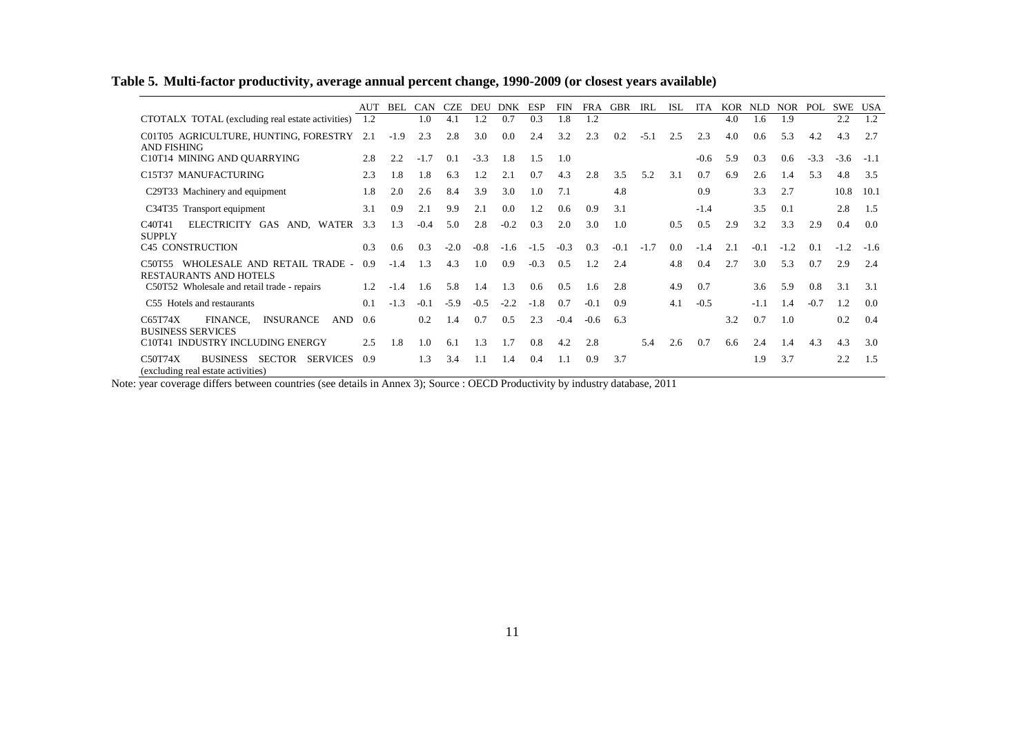# **Table 5. Multi-factor productivity, average annual percent change, 1990-2009 (or closest years available)**

|                                                                                                      | <b>AUT</b> | BEL    | <b>CAN</b> | <b>CZE</b> | <b>DEU</b> | <b>DNK</b> | <b>ESP</b> | <b>FIN</b> | <b>FRA</b> | <b>GBR</b> | <b>IRL</b> | <b>ISL</b> | <b>ITA</b> | <b>KOR</b> | <b>NLD</b> | <b>NOR</b> | POL    | <b>SWE</b> | <b>USA</b> |
|------------------------------------------------------------------------------------------------------|------------|--------|------------|------------|------------|------------|------------|------------|------------|------------|------------|------------|------------|------------|------------|------------|--------|------------|------------|
| CTOTALX TOTAL (excluding real estate activities)                                                     | 1.2        |        | 1.0        | 4.1        | 1.2        | 0.7        | 0.3        | l.8        | 1.2        |            |            |            |            | 4.0        | 1.6        | 1.9        |        | 2.2        | 1.2        |
| C01T05 AGRICULTURE, HUNTING, FORESTRY<br><b>AND FISHING</b>                                          | 2.1        | $-1.9$ | 2.3        | 2.8        | 3.0        | 0.0        | 2.4        | 3.2        | 2.3        | 0.2        | $-5.1$     | 2.5        | 2.3        | 4.0        | 0.6        | 5.3        | 4.2    | 4.3        | 2.7        |
| C10T14 MINING AND OUARRYING                                                                          | 2.8        | 2.2    | $-1.7$     | 0.1        | $-3.3$     | 1.8        | 1.5        | 1.0        |            |            |            |            | $-0.6$     | 5.9        | 0.3        | 0.6        | $-3.3$ | $-3.6$     | $-1.1$     |
| C15T37 MANUFACTURING                                                                                 | 2.3        | 1.8    | 1.8        | 6.3        | 1.2        | 2.1        | 0.7        | 4.3        | 2.8        | 3.5        | 5.2        | 3.1        | 0.7        | 6.9        | 2.6        | 1.4        | 5.3    | 4.8        | 3.5        |
| C29T33 Machinery and equipment                                                                       | 1.8        | 2.0    | 2.6        | 8.4        | 3.9        | 3.0        | 1.0        | 7.1        |            | 4.8        |            |            | 0.9        |            | 3.3        | 2.7        |        | 10.8       | 10.1       |
| C34T35 Transport equipment                                                                           | 3.1        | 0.9    | 2.1        | 9.9        | 2.1        | 0.0        | 1.2        | 0.6        | 0.9        | 3.1        |            |            | $-1.4$     |            | 3.5        | 0.1        |        | 2.8        | 1.5        |
| ELECTRICITY GAS<br>AND, WATER<br>C <sub>4</sub> 0T <sub>41</sub><br><b>SUPPLY</b>                    | 3.3        | 1.3    | $-0.4$     | 5.0        | 2.8        | $-0.2$     | 0.3        | 2.0        | 3.0        | 1.0        |            | 0.5        | 0.5        | 2.9        | 3.2        | 3.3        | 2.9    | 0.4        | 0.0        |
| C45 CONSTRUCTION                                                                                     | 0.3        | 0.6    | 0.3        | $-2.0$     | $-0.8$     | $-1.6$     | $-1.5$     | $-0.3$     | 0.3        | $-0.1$     | $-1.7$     | 0.0        | $-1.4$     | 2.1        | $-0.1$     | $-1.2$     | 0.1    | $-1.2$     | $-1.6$     |
| WHOLESALE AND RETAIL TRADE -<br>C <sub>50</sub> T <sub>55</sub><br><b>RESTAURANTS AND HOTELS</b>     | 0.9        | $-1.4$ | 1.3        | 4.3        | 1.0        | 0.9        | $-0.3$     | 0.5        | 1.2        | 2.4        |            | 4.8        | 0.4        | 2.7        | 3.0        | 5.3        | 0.7    | 2.9        | 2.4        |
| C50T52 Wholesale and retail trade - repairs                                                          | 1.2        | $-1.4$ | 1.6        | 5.8        | 1.4        | 1.3        | 0.6        | 0.5        | 1.6        | 2.8        |            | 4.9        | 0.7        |            | 3.6        | 5.9        | 0.8    | 3.1        | 3.1        |
| C55 Hotels and restaurants                                                                           | 0.1        | $-1.3$ | $-0.1$     | $-5.9$     | $-0.5$     | $-2.2$     | $-1.8$     | 0.7        | $-0.1$     | 0.9        |            | 4.1        | $-0.5$     |            | $-1.1$     | 1.4        | $-0.7$ | 1.2        | 0.0        |
| C65T74X<br>FINANCE,<br><b>INSURANCE</b><br><b>AND</b><br><b>BUSINESS SERVICES</b>                    | 0.6        |        | 0.2        | 1.4        | 0.7        | 0.5        | 2.3        | $-0.4$     | $-0.6$     | 6.3        |            |            |            | 3.2        | 0.7        | 1.0        |        | 0.2        | 0.4        |
| C10T41 INDUSTRY INCLUDING ENERGY                                                                     | 2.5        | 1.8    | 1.0        | 6.1        | 1.3        | 1.7        | 0.8        | 4.2        | 2.8        |            | 5.4        | 2.6        | 0.7        | 6.6        | 2.4        | 1.4        | 4.3    | 4.3        | 3.0        |
| C50T74X<br><b>BUSINESS</b><br><b>SECTOR</b><br><b>SERVICES</b><br>(excluding real estate activities) | 0.9        |        | 1.3        | 3.4        | 1.1        | 1.4        | 0.4        | 1.1        | 0.9        | 3.7        |            |            |            |            | 1.9        | 3.7        |        | 2.2        | 1.5        |

Note: year coverage differs between countries (see details in Annex 3); Source : OECD Productivity by industry database, 2011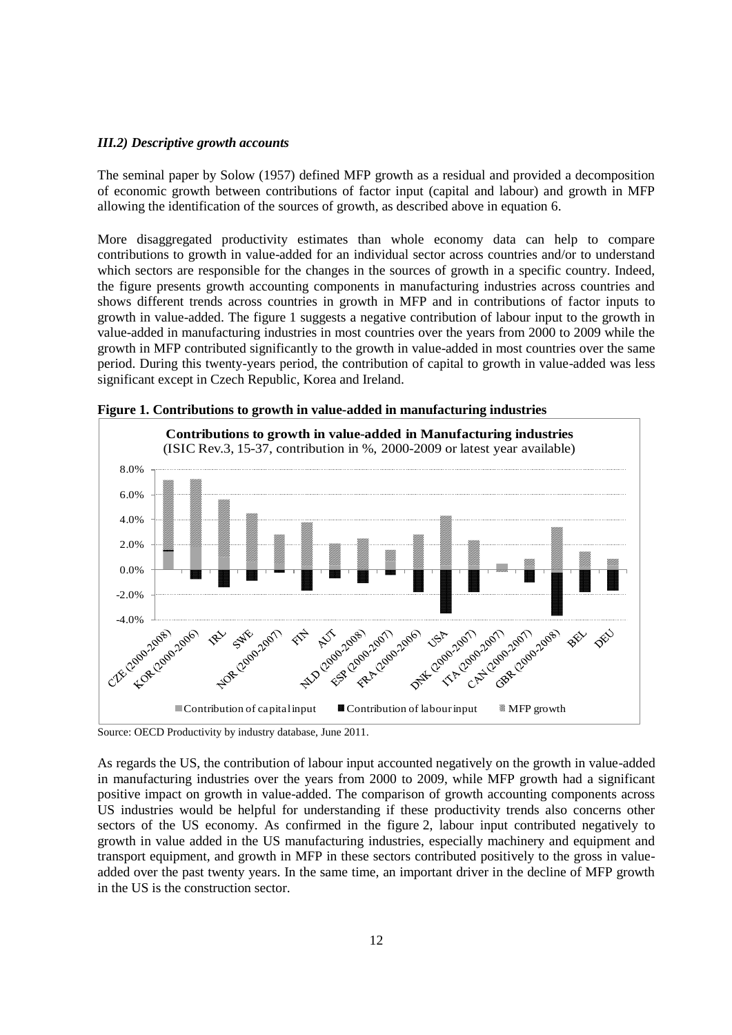## *III.2) Descriptive growth accounts*

The seminal paper by Solow (1957) defined MFP growth as a residual and provided a decomposition of economic growth between contributions of factor input (capital and labour) and growth in MFP allowing the identification of the sources of growth, as described above in equation 6.

More disaggregated productivity estimates than whole economy data can help to compare contributions to growth in value-added for an individual sector across countries and/or to understand which sectors are responsible for the changes in the sources of growth in a specific country. Indeed, the figure presents growth accounting components in manufacturing industries across countries and shows different trends across countries in growth in MFP and in contributions of factor inputs to growth in value-added. The figure 1 suggests a negative contribution of labour input to the growth in value-added in manufacturing industries in most countries over the years from 2000 to 2009 while the growth in MFP contributed significantly to the growth in value-added in most countries over the same period. During this twenty-years period, the contribution of capital to growth in value-added was less significant except in Czech Republic, Korea and Ireland.





As regards the US, the contribution of labour input accounted negatively on the growth in value-added in manufacturing industries over the years from 2000 to 2009, while MFP growth had a significant positive impact on growth in value-added. The comparison of growth accounting components across US industries would be helpful for understanding if these productivity trends also concerns other sectors of the US economy. As confirmed in the figure 2, labour input contributed negatively to growth in value added in the US manufacturing industries, especially machinery and equipment and transport equipment, and growth in MFP in these sectors contributed positively to the gross in valueadded over the past twenty years. In the same time, an important driver in the decline of MFP growth in the US is the construction sector.

Source: OECD Productivity by industry database, June 2011.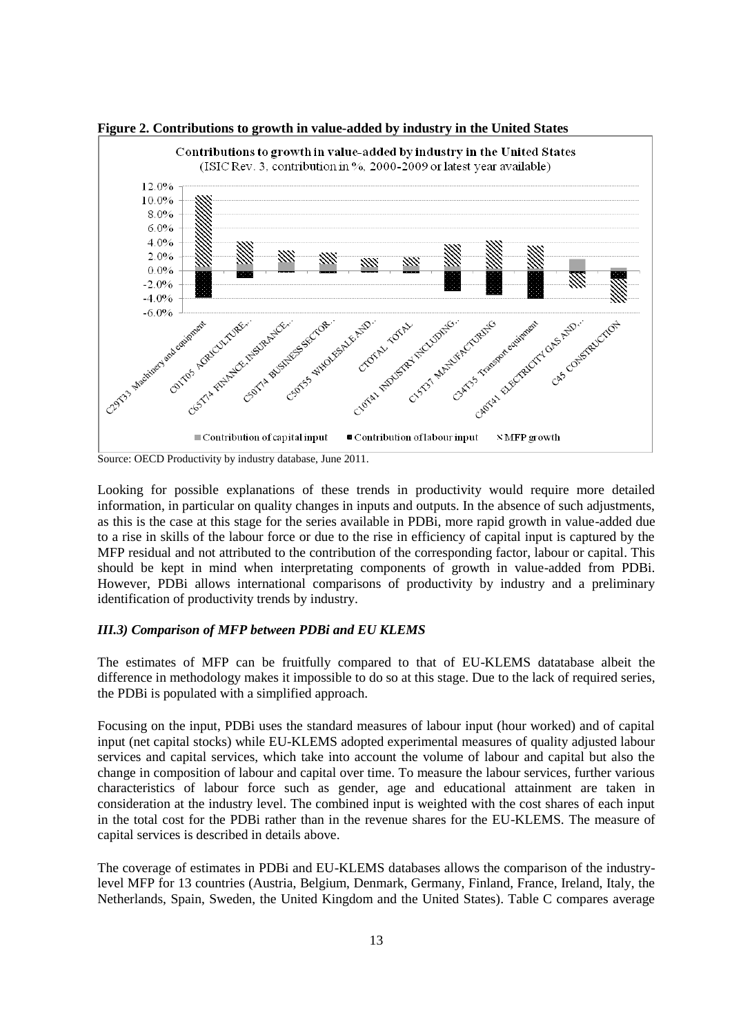

**Figure 2. Contributions to growth in value-added by industry in the United States**

Source: OECD Productivity by industry database, June 2011.

Looking for possible explanations of these trends in productivity would require more detailed information, in particular on quality changes in inputs and outputs. In the absence of such adjustments, as this is the case at this stage for the series available in PDBi, more rapid growth in value-added due to a rise in skills of the labour force or due to the rise in efficiency of capital input is captured by the MFP residual and not attributed to the contribution of the corresponding factor, labour or capital. This should be kept in mind when interpretating components of growth in value-added from PDBi. However, PDBi allows international comparisons of productivity by industry and a preliminary identification of productivity trends by industry.

#### *III.3) Comparison of MFP between PDBi and EU KLEMS*

The estimates of MFP can be fruitfully compared to that of EU-KLEMS datatabase albeit the difference in methodology makes it impossible to do so at this stage. Due to the lack of required series, the PDBi is populated with a simplified approach.

Focusing on the input, PDBi uses the standard measures of labour input (hour worked) and of capital input (net capital stocks) while EU-KLEMS adopted experimental measures of quality adjusted labour services and capital services, which take into account the volume of labour and capital but also the change in composition of labour and capital over time. To measure the labour services, further various characteristics of labour force such as gender, age and educational attainment are taken in consideration at the industry level. The combined input is weighted with the cost shares of each input in the total cost for the PDBi rather than in the revenue shares for the EU-KLEMS. The measure of capital services is described in details above.

The coverage of estimates in PDBi and EU-KLEMS databases allows the comparison of the industrylevel MFP for 13 countries (Austria, Belgium, Denmark, Germany, Finland, France, Ireland, Italy, the Netherlands, Spain, Sweden, the United Kingdom and the United States). Table C compares average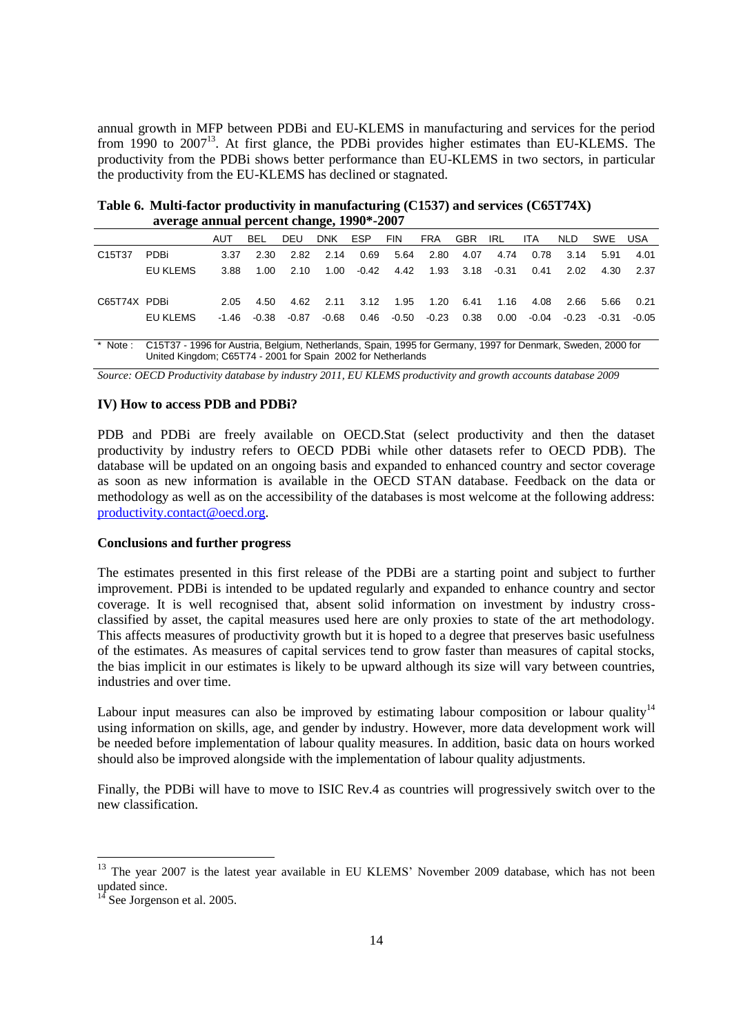annual growth in MFP between PDBi and EU-KLEMS in manufacturing and services for the period from 1990 to 2007<sup>13</sup>. At first glance, the PDBi provides higher estimates than EU-KLEMS. The productivity from the PDBi shows better performance than EU-KLEMS in two sectors, in particular the productivity from the EU-KLEMS has declined or stagnated.

**average annual percent change, 1990\*-2007**  AUT BEL DEU DNK ESP FIN FRA GBR IRL ITA NLD SWE USA C15T37 PDBi 3.37 2.30 2.82 2.14 0.69 5.64 2.80 4.07 4.74 0.78 3.14 5.91 4.01 EU KLEMS 3.88 1.00 2.10 1.00 -0.42 4.42 1.93 3.18 -0.31 0.41 2.02 4.30 2.37 C65T74X PDBi 2.05 4.50 4.62 2.11 3.12 1.95 1.20 6.41 1.16 4.08 2.66 5.66 0.21

**Table 6. Multi-factor productivity in manufacturing (C1537) and services (C65T74X)**

\* Note : C15T37 - 1996 for Austria, Belgium, Netherlands, Spain, 1995 for Germany, 1997 for Denmark, Sweden, 2000 for United Kingdom; C65T74 - 2001 for Spain 2002 for Netherlands

EU KLEMS -1.46 -0.38 -0.87 -0.68 0.46 -0.50 -0.23 0.38 0.00 -0.04 -0.23 -0.31 -0.05

*Source: OECD Productivity database by industry 2011, EU KLEMS productivity and growth accounts database 2009*

## **IV) How to access PDB and PDBi?**

PDB and PDBi are freely available on OECD.Stat (select productivity and then the dataset productivity by industry refers to OECD PDBi while other datasets refer to OECD PDB). The database will be updated on an ongoing basis and expanded to enhanced country and sector coverage as soon as new information is available in the OECD STAN database. Feedback on the data or methodology as well as on the accessibility of the databases is most welcome at the following address: [productivity.contact@oecd.org.](mailto:productivity.contact@oecd.org)

## **Conclusions and further progress**

The estimates presented in this first release of the PDBi are a starting point and subject to further improvement. PDBi is intended to be updated regularly and expanded to enhance country and sector coverage. It is well recognised that, absent solid information on investment by industry crossclassified by asset, the capital measures used here are only proxies to state of the art methodology. This affects measures of productivity growth but it is hoped to a degree that preserves basic usefulness of the estimates. As measures of capital services tend to grow faster than measures of capital stocks, the bias implicit in our estimates is likely to be upward although its size will vary between countries, industries and over time.

Labour input measures can also be improved by estimating labour composition or labour quality<sup>14</sup> using information on skills, age, and gender by industry. However, more data development work will be needed before implementation of labour quality measures. In addition, basic data on hours worked should also be improved alongside with the implementation of labour quality adjustments.

Finally, the PDBi will have to move to ISIC Rev.4 as countries will progressively switch over to the new classification.

l

<sup>&</sup>lt;sup>13</sup> The year 2007 is the latest year available in EU KLEMS' [November 2009](http://www.euklems.net/data/09i/sources/Contents_09I_release.pdf) database, which has not been updated since.

See Jorgenson et al. 2005.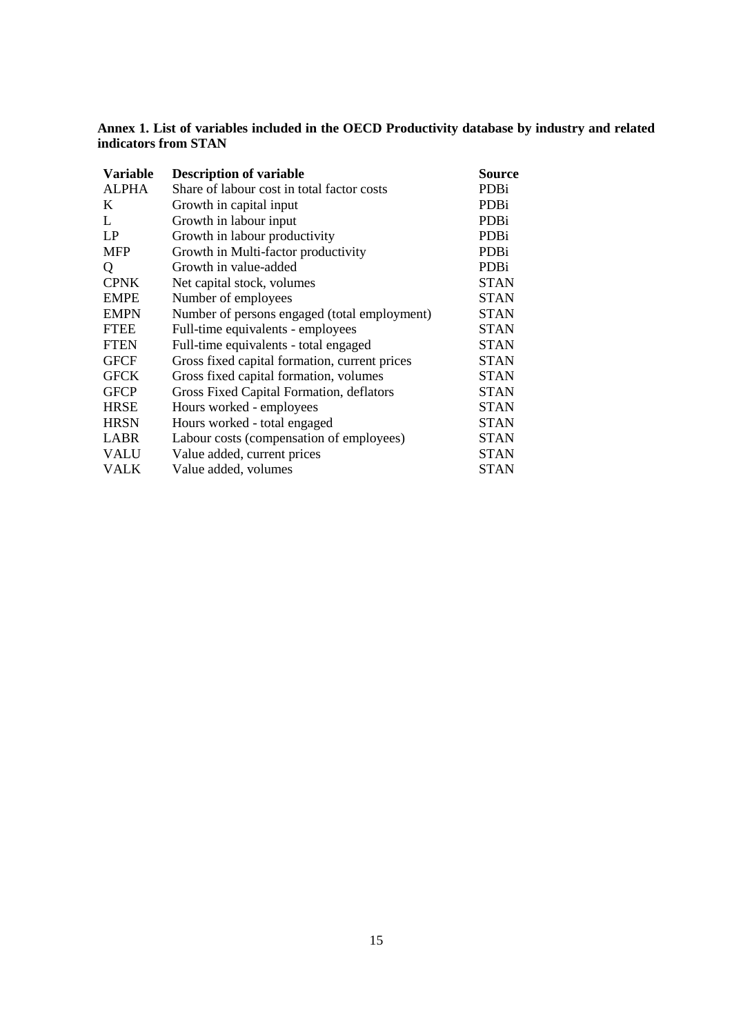**Annex 1. List of variables included in the OECD Productivity database by industry and related indicators from STAN**

| <b>Variable</b> | <b>Description of variable</b>                | Source      |
|-----------------|-----------------------------------------------|-------------|
| <b>ALPHA</b>    | Share of labour cost in total factor costs    | <b>PDBi</b> |
| K               | Growth in capital input                       | PDBi        |
| L               | Growth in labour input                        | PDBi        |
| LP              | Growth in labour productivity                 | PDBi        |
| <b>MFP</b>      | Growth in Multi-factor productivity           | PDBi        |
| Q               | Growth in value-added                         | <b>PDBi</b> |
| <b>CPNK</b>     | Net capital stock, volumes                    | <b>STAN</b> |
| <b>EMPE</b>     | Number of employees                           | <b>STAN</b> |
| <b>EMPN</b>     | Number of persons engaged (total employment)  | <b>STAN</b> |
| <b>FTEE</b>     | Full-time equivalents - employees             | <b>STAN</b> |
| <b>FTEN</b>     | Full-time equivalents - total engaged         | <b>STAN</b> |
| <b>GFCF</b>     | Gross fixed capital formation, current prices | <b>STAN</b> |
| <b>GFCK</b>     | Gross fixed capital formation, volumes        | <b>STAN</b> |
| <b>GFCP</b>     | Gross Fixed Capital Formation, deflators      | <b>STAN</b> |
| <b>HRSE</b>     | Hours worked - employees                      | <b>STAN</b> |
| <b>HRSN</b>     | Hours worked - total engaged                  | <b>STAN</b> |
| <b>LABR</b>     | Labour costs (compensation of employees)      | <b>STAN</b> |
| <b>VALU</b>     | Value added, current prices                   | <b>STAN</b> |
| VALK            | Value added, volumes                          | <b>STAN</b> |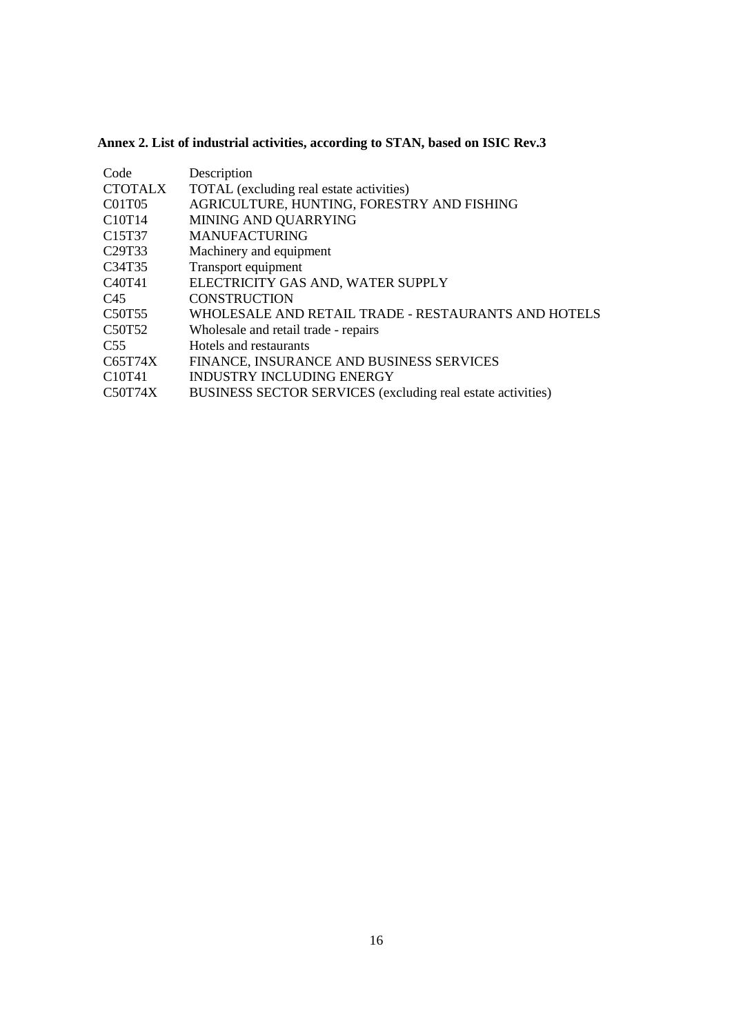# **Annex 2. List of industrial activities, according to STAN, based on ISIC Rev.3**

| Code                            | Description                                                 |
|---------------------------------|-------------------------------------------------------------|
| <b>CTOTALX</b>                  | TOTAL (excluding real estate activities)                    |
| C01T05                          | AGRICULTURE, HUNTING, FORESTRY AND FISHING                  |
| C <sub>10</sub> T <sub>14</sub> | MINING AND QUARRYING                                        |
| C <sub>15</sub> T <sub>37</sub> | <b>MANUFACTURING</b>                                        |
| C <sub>29</sub> T <sub>33</sub> | Machinery and equipment                                     |
| C34T35                          | Transport equipment                                         |
| C <sub>40</sub> T <sub>41</sub> | ELECTRICITY GAS AND, WATER SUPPLY                           |
| C45                             | <b>CONSTRUCTION</b>                                         |
| C <sub>5</sub> 0T <sub>55</sub> | WHOLESALE AND RETAIL TRADE - RESTAURANTS AND HOTELS         |
| C50T52                          | Wholesale and retail trade - repairs                        |
| C <sub>55</sub>                 | Hotels and restaurants                                      |
| C65T74X                         | FINANCE, INSURANCE AND BUSINESS SERVICES                    |
| C10T41                          | <b>INDUSTRY INCLUDING ENERGY</b>                            |
| C50T74X                         | BUSINESS SECTOR SERVICES (excluding real estate activities) |
|                                 |                                                             |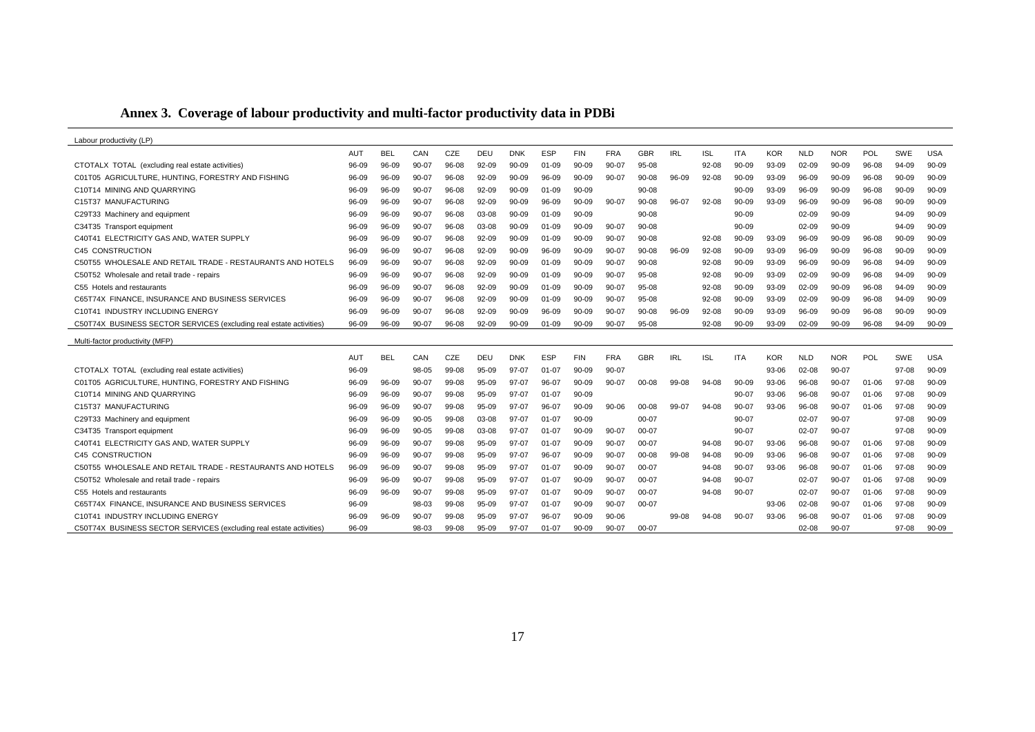# **Annex 3. Coverage of labour productivity and multi-factor productivity data in PDBi**

| Labour productivity (LP)                                            |            |            |           |       |           |            |            |            |            |            |            |            |            |            |            |            |           |            |            |
|---------------------------------------------------------------------|------------|------------|-----------|-------|-----------|------------|------------|------------|------------|------------|------------|------------|------------|------------|------------|------------|-----------|------------|------------|
|                                                                     | <b>AUT</b> | <b>BEL</b> | CAN       | CZE   | DEU       | <b>DNK</b> | <b>ESP</b> | <b>FIN</b> | <b>FRA</b> | <b>GBR</b> | <b>IRL</b> | <b>ISL</b> | <b>ITA</b> | <b>KOR</b> | <b>NLD</b> | <b>NOR</b> | POL       | <b>SWE</b> | <b>USA</b> |
| CTOTALX TOTAL (excluding real estate activities)                    | 96-09      | 96-09      | 90-07     | 96-08 | 92-09     | $90 - 09$  | $01 - 09$  | 90-09      | 90-07      | 95-08      |            | 92-08      | $90 - 09$  | 93-09      | $02 - 09$  | $90 - 09$  | 96-08     | 94-09      | $90 - 09$  |
| C01T05 AGRICULTURE, HUNTING, FORESTRY AND FISHING                   | 96-09      | 96-09      | 90-07     | 96-08 | $92 - 09$ | $90 - 09$  | 96-09      | 90-09      | $90 - 07$  | $90 - 08$  | 96-09      | 92-08      | 90-09      | 93-09      | 96-09      | $90 - 09$  | 96-08     | 90-09      | $90 - 09$  |
| C10T14 MINING AND OUARRYING                                         | 96-09      | 96-09      | 90-07     | 96-08 | $92 - 09$ | $90 - 09$  | $01 - 09$  | $90 - 09$  |            | $90 - 08$  |            |            | 90-09      | 93-09      | 96-09      | $90 - 09$  | 96-08     | $90 - 09$  | $90 - 09$  |
| C15T37 MANUFACTURING                                                | 96-09      | 96-09      | $90 - 07$ | 96-08 | $92 - 09$ | $90 - 09$  | 96-09      | $90 - 09$  | $90 - 07$  | $90 - 08$  | 96-07      | $92 - 08$  | $90 - 09$  | 93-09      | 96-09      | $90 - 09$  | 96-08     | $90 - 09$  | $90 - 09$  |
| C29T33 Machinery and equipment                                      | 96-09      | 96-09      | $90 - 07$ | 96-08 | 03-08     | $90 - 09$  | $01-09$    | $90-09$    |            | $90 - 08$  |            |            | $90-09$    |            | $02 - 09$  | $90-09$    |           | 94-09      | $90 - 09$  |
| C34T35 Transport equipment                                          | 96-09      | 96-09      | 90-07     | 96-08 | 03-08     | $90 - 09$  | $01 - 09$  | $90 - 09$  | $90 - 07$  | $90 - 08$  |            |            | $90 - 09$  |            | 02-09      | $90 - 09$  |           | 94-09      | $90 - 09$  |
| C40T41 ELECTRICITY GAS AND. WATER SUPPLY                            | 96-09      | 96-09      | 90-07     | 96-08 | 92-09     | $90 - 09$  | $01 - 09$  | $90 - 09$  | $90 - 07$  | $90 - 08$  |            | 92-08      | $90 - 09$  | 93-09      | 96-09      | 90-09      | 96-08     | $90 - 09$  | $90 - 09$  |
| C45 CONSTRUCTION                                                    | 96-09      | 96-09      | $90 - 07$ | 96-08 | $92 - 09$ | $90 - 09$  | 96-09      | $90 - 09$  | $90 - 07$  | $90 - 08$  | 96-09      | $92 - 08$  | $90 - 09$  | 93-09      | 96-09      | $90 - 09$  | 96-08     | $90 - 09$  | $90 - 09$  |
| C50T55 WHOLESALE AND RETAIL TRADE - RESTAURANTS AND HOTELS          | 96-09      | 96-09      | $90 - 07$ | 96-08 | 92-09     | $90 - 09$  | 01-09      | $90 - 09$  | $90 - 07$  | $90 - 08$  |            | 92-08      | $90 - 09$  | 93-09      | 96-09      | $90 - 09$  | 96-08     | 94-09      | $90 - 09$  |
| C50T52 Wholesale and retail trade - repairs                         | 96-09      | 96-09      | 90-07     | 96-08 | 92-09     | $90 - 09$  | $01 - 09$  | $90 - 09$  | $90 - 07$  | 95-08      |            | $92 - 08$  | 90-09      | 93-09      | $02 - 09$  | $90 - 09$  | 96-08     | 94-09      | $90 - 09$  |
| C55 Hotels and restaurants                                          | 96-09      | 96-09      | $90 - 07$ | 96-08 | 92-09     | $90 - 09$  | $01 - 09$  | $90 - 09$  | $90 - 07$  | 95-08      |            | 92-08      | $90 - 09$  | 93-09      | 02-09      | $90 - 09$  | 96-08     | 94-09      | $90 - 09$  |
| C65T74X FINANCE. INSURANCE AND BUSINESS SERVICES                    | 96-09      | 96-09      | 90-07     | 96-08 | $92 - 09$ | $90 - 09$  | $01 - 09$  | $90 - 09$  | $90 - 07$  | 95-08      |            | $92 - 08$  | $90 - 09$  | 93-09      | $02 - 09$  | $90 - 09$  | 96-08     | 94-09      | 90-09      |
| C10T41 INDUSTRY INCLUDING ENERGY                                    | 96-09      | 96-09      | $90 - 07$ | 96-08 | $92 - 09$ | $90 - 09$  | 96-09      | $90 - 09$  | $90 - 07$  | $90 - 08$  | 96-09      | 92-08      | 90-09      | 93-09      | 96-09      | $90 - 09$  | 96-08     | 90-09      | $90 - 09$  |
| C50T74X BUSINESS SECTOR SERVICES (excluding real estate activities) | 96-09      | 96-09      | $90 - 07$ | 96-08 | 92-09     | $90 - 09$  | 01-09      | 90-09      | 90-07      | $95-08$    |            | $92 - 08$  | $90 - 09$  | 93-09      | 02-09      | $90 - 09$  | 96-08     | 94-09      | $90 - 09$  |
|                                                                     |            |            |           |       |           |            |            |            |            |            |            |            |            |            |            |            |           |            |            |
| Multi-factor productivity (MFP)                                     |            |            |           |       |           |            |            |            |            |            |            |            |            |            |            |            |           |            |            |
|                                                                     | AUT        | <b>BEL</b> | CAN       | CZE   | DEU       | <b>DNK</b> | <b>ESP</b> | <b>FIN</b> | <b>FRA</b> | <b>GBR</b> | <b>IRL</b> | <b>ISL</b> | <b>ITA</b> | <b>KOR</b> | <b>NLD</b> | <b>NOR</b> | POL       | <b>SWE</b> | <b>USA</b> |
| CTOTALX TOTAL (excluding real estate activities)                    | 96-09      |            | 98-05     | 99-08 | 95-09     | 97-07      | $01 - 07$  | $90 - 09$  | 90-07      |            |            |            |            | 93-06      | $02 - 08$  | 90-07      |           | 97-08      | $90 - 09$  |
| C01T05 AGRICULTURE, HUNTING, FORESTRY AND FISHING                   | 96-09      | 96-09      | $90 - 07$ | 99-08 | 95-09     | $97-07$    | 96-07      | $90 - 09$  | $90 - 07$  | 00-08      | 99-08      | 94-08      | $90 - 09$  | 93-06      | 96-08      | 90-07      | 01-06     | 97-08      | $90 - 09$  |
| C10T14 MINING AND QUARRYING                                         | 96-09      | 96-09      | 90-07     | 99-08 | 95-09     | $97-07$    | $01 - 07$  | $90 - 09$  |            |            |            |            | $90 - 07$  | 93-06      | 96-08      | 90-07      | 01-06     | 97-08      | $90 - 09$  |
| C15T37 MANUFACTURING                                                | 96-09      | 96-09      | 90-07     | 99-08 | 95-09     | 97-07      | 96-07      | $90 - 09$  | $90 - 06$  | $00 - 08$  | 99-07      | 94-08      | 90-07      | 93-06      | 96-08      | 90-07      | 01-06     | 97-08      | $90 - 09$  |
| C29T33 Machinery and equipment                                      | 96-09      | 96-09      | $90 - 05$ | 99-08 | 03-08     | $97-07$    | $01 - 07$  | $90 - 09$  |            | $00 - 07$  |            |            | $90 - 07$  |            | 02-07      | $90 - 07$  |           | 97-08      | $90 - 09$  |
| C34T35 Transport equipment                                          | 96-09      | 96-09      | $90 - 05$ | 99-08 | 03-08     | 97-07      | $01 - 07$  | $90 - 09$  | $90 - 07$  | $00 - 07$  |            |            | 90-07      |            | $02 - 07$  | 90-07      |           | 97-08      | 90-09      |
| C40T41 ELECTRICITY GAS AND. WATER SUPPLY                            | 96-09      | 96-09      | $90 - 07$ | 99-08 | 95-09     | $97-07$    | $01 - 07$  | $90 - 09$  | $90 - 07$  | 00-07      |            | $94-08$    | $90-07$    | 93-06      | 96-08      | $90-07$    | 01-06     | 97-08      | $90-09$    |
| C45 CONSTRUCTION                                                    | 96-09      | 96-09      | $90 - 07$ | 99-08 | 95-09     | 97-07      | 96-07      | $90 - 09$  | $90 - 07$  | 00-08      | 99-08      | 94-08      | $90 - 09$  | 93-06      | 96-08      | $90 - 07$  | 01-06     | 97-08      | $90 - 09$  |
| C50T55 WHOLESALE AND RETAIL TRADE - RESTAURANTS AND HOTELS          | 96-09      | 96-09      | 90-07     | 99-08 | 95-09     | 97-07      | $01 - 07$  | $90 - 09$  | 90-07      | $00 - 07$  |            | 94-08      | 90-07      | 93-06      | 96-08      | 90-07      | $01 - 06$ | 97-08      | $90 - 09$  |
| C50T52 Wholesale and retail trade - repairs                         | 96-09      | 96-09      | $90 - 07$ | 99-08 | 95-09     | 97-07      | $01 - 07$  | $90 - 09$  | $90 - 07$  | $00 - 07$  |            | 94-08      | 90-07      |            | $02 - 07$  | 90-07      | $01 - 06$ | 97-08      | $90 - 09$  |
| C55 Hotels and restaurants                                          | 96-09      | 96-09      | 90-07     | 99-08 | 95-09     | 97-07      | $01 - 07$  | $90 - 09$  | $90 - 07$  | $00 - 07$  |            | 94-08      | 90-07      |            | $02 - 07$  | $90 - 07$  | 01-06     | 97-08      | $90 - 09$  |
| C65T74X FINANCE, INSURANCE AND BUSINESS SERVICES                    | 96-09      |            | 98-03     | 99-08 | 95-09     | 97-07      | $01 - 07$  | $90 - 09$  | $90 - 07$  | $00 - 07$  |            |            |            | 93-06      | $02 - 08$  | 90-07      | $01 - 06$ | 97-08      | $90 - 09$  |
| C10T41 INDUSTRY INCLUDING ENERGY                                    | 96-09      | $96-09$    | $90 - 07$ | 99-08 | 95-09     | $97-07$    | 96-07      | $90 - 09$  | $90 - 06$  |            | 99-08      | $94-08$    | $90 - 07$  | 93-06      | 96-08      | $90 - 07$  | $01 - 06$ | 97-08      | $90 - 09$  |